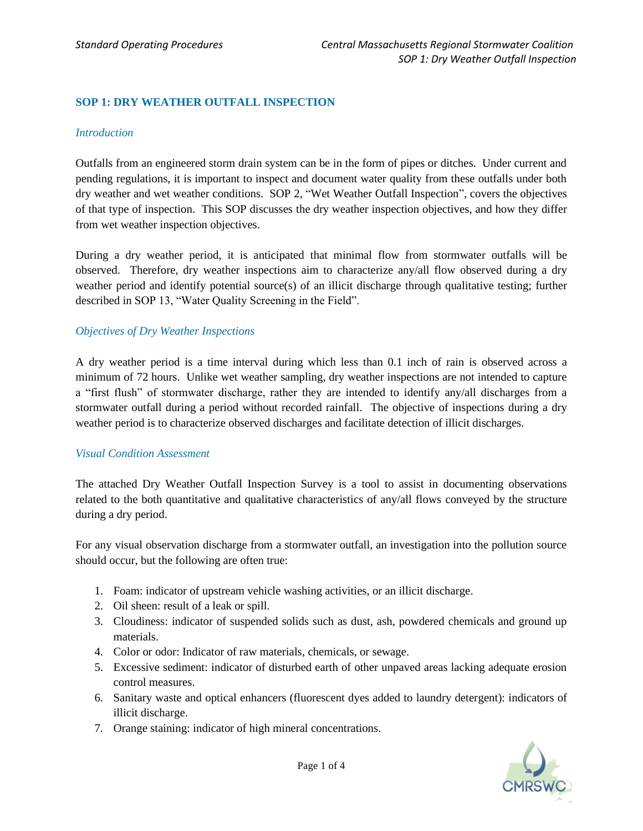## **SOP 1: DRY WEATHER OUTFALL INSPECTION**

#### *Introduction*

Outfalls from an engineered storm drain system can be in the form of pipes or ditches. Under current and pending regulations, it is important to inspect and document water quality from these outfalls under both dry weather and wet weather conditions. SOP 2, "Wet Weather Outfall Inspection", covers the objectives of that type of inspection. This SOP discusses the dry weather inspection objectives, and how they differ from wet weather inspection objectives.

During a dry weather period, it is anticipated that minimal flow from stormwater outfalls will be observed. Therefore, dry weather inspections aim to characterize any/all flow observed during a dry weather period and identify potential source(s) of an illicit discharge through qualitative testing; further described in SOP 13, "Water Quality Screening in the Field".

#### *Objectives of Dry Weather Inspections*

A dry weather period is a time interval during which less than 0.1 inch of rain is observed across a minimum of 72 hours. Unlike wet weather sampling, dry weather inspections are not intended to capture a "first flush" of stormwater discharge, rather they are intended to identify any/all discharges from a stormwater outfall during a period without recorded rainfall. The objective of inspections during a dry weather period is to characterize observed discharges and facilitate detection of illicit discharges.

## *Visual Condition Assessment*

The attached Dry Weather Outfall Inspection Survey is a tool to assist in documenting observations related to the both quantitative and qualitative characteristics of any/all flows conveyed by the structure during a dry period.

For any visual observation discharge from a stormwater outfall, an investigation into the pollution source should occur, but the following are often true:

- 1. Foam: indicator of upstream vehicle washing activities, or an illicit discharge.
- 2. Oil sheen: result of a leak or spill.
- 3. Cloudiness: indicator of suspended solids such as dust, ash, powdered chemicals and ground up materials.
- 4. Color or odor: Indicator of raw materials, chemicals, or sewage.
- 5. Excessive sediment: indicator of disturbed earth of other unpaved areas lacking adequate erosion control measures.
- 6. Sanitary waste and optical enhancers (fluorescent dyes added to laundry detergent): indicators of illicit discharge.
- 7. Orange staining: indicator of high mineral concentrations.

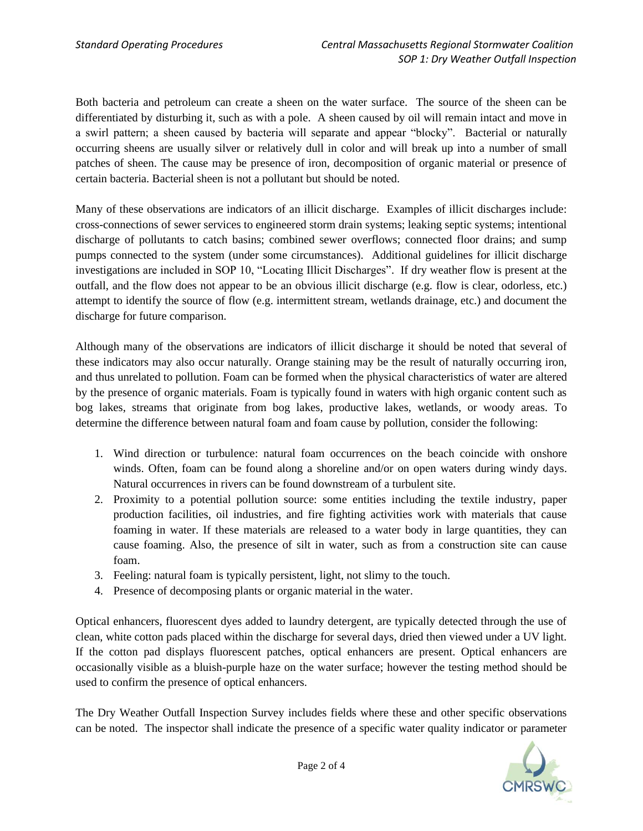Both bacteria and petroleum can create a sheen on the water surface. The source of the sheen can be differentiated by disturbing it, such as with a pole. A sheen caused by oil will remain intact and move in a swirl pattern; a sheen caused by bacteria will separate and appear "blocky". Bacterial or naturally occurring sheens are usually silver or relatively dull in color and will break up into a number of small patches of sheen. The cause may be presence of iron, decomposition of organic material or presence of certain bacteria. Bacterial sheen is not a pollutant but should be noted.

Many of these observations are indicators of an illicit discharge. Examples of illicit discharges include: cross-connections of sewer services to engineered storm drain systems; leaking septic systems; intentional discharge of pollutants to catch basins; combined sewer overflows; connected floor drains; and sump pumps connected to the system (under some circumstances). Additional guidelines for illicit discharge investigations are included in SOP 10, "Locating Illicit Discharges". If dry weather flow is present at the outfall, and the flow does not appear to be an obvious illicit discharge (e.g. flow is clear, odorless, etc.) attempt to identify the source of flow (e.g. intermittent stream, wetlands drainage, etc.) and document the discharge for future comparison.

Although many of the observations are indicators of illicit discharge it should be noted that several of these indicators may also occur naturally. Orange staining may be the result of naturally occurring iron, and thus unrelated to pollution. Foam can be formed when the physical characteristics of water are altered by the presence of organic materials. Foam is typically found in waters with high organic content such as bog lakes, streams that originate from bog lakes, productive lakes, wetlands, or woody areas. To determine the difference between natural foam and foam cause by pollution, consider the following:

- 1. Wind direction or turbulence: natural foam occurrences on the beach coincide with onshore winds. Often, foam can be found along a shoreline and/or on open waters during windy days. Natural occurrences in rivers can be found downstream of a turbulent site.
- 2. Proximity to a potential pollution source: some entities including the textile industry, paper production facilities, oil industries, and fire fighting activities work with materials that cause foaming in water. If these materials are released to a water body in large quantities, they can cause foaming. Also, the presence of silt in water, such as from a construction site can cause foam.
- 3. Feeling: natural foam is typically persistent, light, not slimy to the touch.
- 4. Presence of decomposing plants or organic material in the water.

Optical enhancers, fluorescent dyes added to laundry detergent, are typically detected through the use of clean, white cotton pads placed within the discharge for several days, dried then viewed under a UV light. If the cotton pad displays fluorescent patches, optical enhancers are present. Optical enhancers are occasionally visible as a bluish-purple haze on the water surface; however the testing method should be used to confirm the presence of optical enhancers.

The Dry Weather Outfall Inspection Survey includes fields where these and other specific observations can be noted. The inspector shall indicate the presence of a specific water quality indicator or parameter

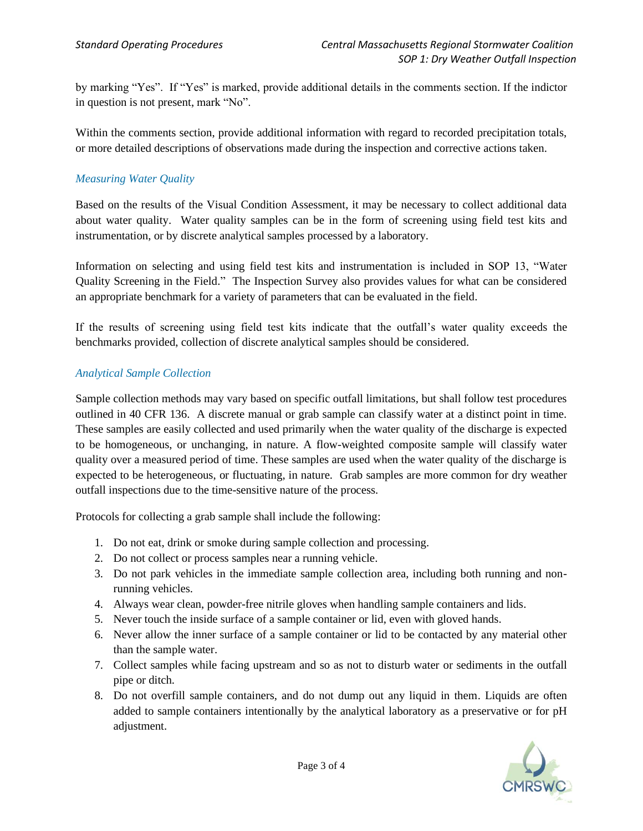by marking "Yes". If "Yes" is marked, provide additional details in the comments section. If the indictor in question is not present, mark "No".

Within the comments section, provide additional information with regard to recorded precipitation totals, or more detailed descriptions of observations made during the inspection and corrective actions taken.

# *Measuring Water Quality*

Based on the results of the Visual Condition Assessment, it may be necessary to collect additional data about water quality. Water quality samples can be in the form of screening using field test kits and instrumentation, or by discrete analytical samples processed by a laboratory.

Information on selecting and using field test kits and instrumentation is included in SOP 13, "Water Quality Screening in the Field." The Inspection Survey also provides values for what can be considered an appropriate benchmark for a variety of parameters that can be evaluated in the field.

If the results of screening using field test kits indicate that the outfall's water quality exceeds the benchmarks provided, collection of discrete analytical samples should be considered.

## *Analytical Sample Collection*

Sample collection methods may vary based on specific outfall limitations, but shall follow test procedures outlined in 40 CFR 136. A discrete manual or grab sample can classify water at a distinct point in time. These samples are easily collected and used primarily when the water quality of the discharge is expected to be homogeneous, or unchanging, in nature. A flow-weighted composite sample will classify water quality over a measured period of time. These samples are used when the water quality of the discharge is expected to be heterogeneous, or fluctuating, in nature. Grab samples are more common for dry weather outfall inspections due to the time-sensitive nature of the process.

Protocols for collecting a grab sample shall include the following:

- 1. Do not eat, drink or smoke during sample collection and processing.
- 2. Do not collect or process samples near a running vehicle.
- 3. Do not park vehicles in the immediate sample collection area, including both running and nonrunning vehicles.
- 4. Always wear clean, powder-free nitrile gloves when handling sample containers and lids.
- 5. Never touch the inside surface of a sample container or lid, even with gloved hands.
- 6. Never allow the inner surface of a sample container or lid to be contacted by any material other than the sample water.
- 7. Collect samples while facing upstream and so as not to disturb water or sediments in the outfall pipe or ditch.
- 8. Do not overfill sample containers, and do not dump out any liquid in them. Liquids are often added to sample containers intentionally by the analytical laboratory as a preservative or for pH adjustment.